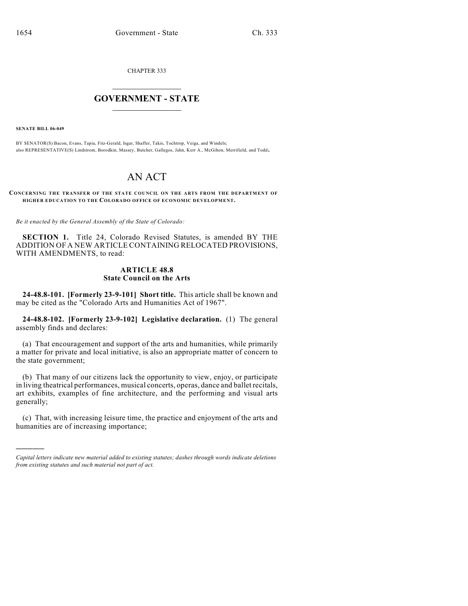CHAPTER 333

## $\mathcal{L}_\text{max}$  . The set of the set of the set of the set of the set of the set of the set of the set of the set of the set of the set of the set of the set of the set of the set of the set of the set of the set of the set **GOVERNMENT - STATE**  $\_$   $\_$   $\_$   $\_$   $\_$   $\_$   $\_$   $\_$

**SENATE BILL 06-049**

)))))

BY SENATOR(S) Bacon, Evans, Tapia, Fitz-Gerald, Isgar, Shaffer, Takis, Tochtrop, Veiga, and Windels; also REPRESENTATIVE(S) Lindstrom, Borodkin, Massey, Butcher, Gallegos, Jahn, Kerr A., McGihon, Merrifield, and Todd.

## AN ACT

**CONCERNING THE TRANSFER OF THE STATE COUNCIL ON THE ARTS FROM THE DEPARTMENT OF HIGHER EDUCATION TO THE COLORADO OFFICE OF ECONOMIC DEVELOPMENT.**

*Be it enacted by the General Assembly of the State of Colorado:*

**SECTION 1.** Title 24, Colorado Revised Statutes, is amended BY THE ADDITION OF A NEW ARTICLE CONTAINING RELOCATED PROVISIONS, WITH AMENDMENTS, to read:

## **ARTICLE 48.8 State Council on the Arts**

**24-48.8-101. [Formerly 23-9-101] Short title.** This article shall be known and may be cited as the "Colorado Arts and Humanities Act of 1967".

**24-48.8-102. [Formerly 23-9-102] Legislative declaration.** (1) The general assembly finds and declares:

(a) That encouragement and support of the arts and humanities, while primarily a matter for private and local initiative, is also an appropriate matter of concern to the state government;

(b) That many of our citizens lack the opportunity to view, enjoy, or participate in living theatrical performances, musical concerts, operas, dance and ballet recitals, art exhibits, examples of fine architecture, and the performing and visual arts generally;

(c) That, with increasing leisure time, the practice and enjoyment of the arts and humanities are of increasing importance;

*Capital letters indicate new material added to existing statutes; dashes through words indicate deletions from existing statutes and such material not part of act.*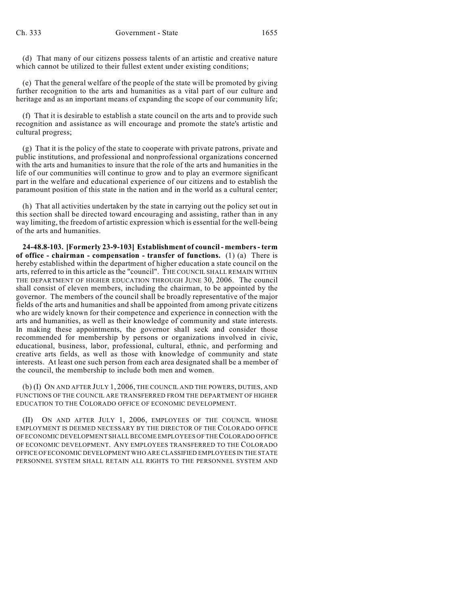(d) That many of our citizens possess talents of an artistic and creative nature which cannot be utilized to their fullest extent under existing conditions;

(e) That the general welfare of the people of the state will be promoted by giving further recognition to the arts and humanities as a vital part of our culture and heritage and as an important means of expanding the scope of our community life;

(f) That it is desirable to establish a state council on the arts and to provide such recognition and assistance as will encourage and promote the state's artistic and cultural progress;

(g) That it is the policy of the state to cooperate with private patrons, private and public institutions, and professional and nonprofessional organizations concerned with the arts and humanities to insure that the role of the arts and humanities in the life of our communities will continue to grow and to play an evermore significant part in the welfare and educational experience of our citizens and to establish the paramount position of this state in the nation and in the world as a cultural center;

(h) That all activities undertaken by the state in carrying out the policy set out in this section shall be directed toward encouraging and assisting, rather than in any way limiting, the freedom of artistic expression which is essential for the well-being of the arts and humanities.

**24-48.8-103. [Formerly 23-9-103] Establishment of council - members - term of office - chairman - compensation - transfer of functions.** (1) (a) There is hereby established within the department of higher education a state council on the arts, referred to in this article as the "council". THE COUNCIL SHALL REMAIN WITHIN THE DEPARTMENT OF HIGHER EDUCATION THROUGH JUNE 30, 2006. The council shall consist of eleven members, including the chairman, to be appointed by the governor. The members of the council shall be broadly representative of the major fields of the arts and humanities and shall be appointed from among private citizens who are widely known for their competence and experience in connection with the arts and humanities, as well as their knowledge of community and state interests. In making these appointments, the governor shall seek and consider those recommended for membership by persons or organizations involved in civic, educational, business, labor, professional, cultural, ethnic, and performing and creative arts fields, as well as those with knowledge of community and state interests. At least one such person from each area designated shall be a member of the council, the membership to include both men and women.

(b) (I) ON AND AFTER JULY 1, 2006, THE COUNCIL AND THE POWERS, DUTIES, AND FUNCTIONS OF THE COUNCIL ARE TRANSFERRED FROM THE DEPARTMENT OF HIGHER EDUCATION TO THE COLORADO OFFICE OF ECONOMIC DEVELOPMENT.

(II) ON AND AFTER JULY 1, 2006, EMPLOYEES OF THE COUNCIL WHOSE EMPLOYMENT IS DEEMED NECESSARY BY THE DIRECTOR OF THE COLORADO OFFICE OF ECONOMIC DEVELOPMENT SHALL BECOME EMPLOYEES OF THE COLORADO OFFICE OF ECONOMIC DEVELOPMENT. ANY EMPLOYEES TRANSFERRED TO THE COLORADO OFFICE OF ECONOMIC DEVELOPMENT WHO ARE CLASSIFIED EMPLOYEES IN THE STATE PERSONNEL SYSTEM SHALL RETAIN ALL RIGHTS TO THE PERSONNEL SYSTEM AND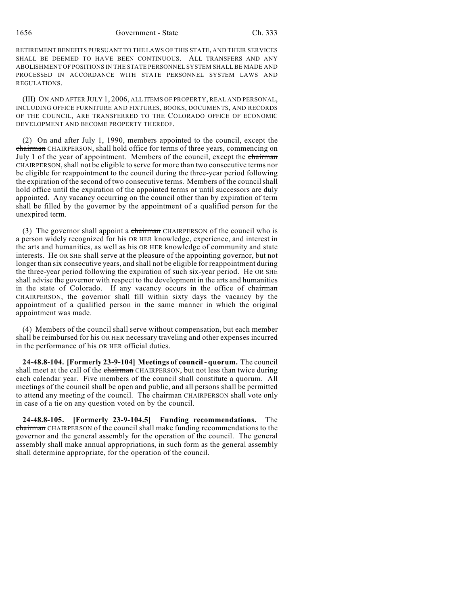1656 Government - State Ch. 333

RETIREMENT BENEFITS PURSUANT TO THE LAWS OF THIS STATE, AND THEIR SERVICES SHALL BE DEEMED TO HAVE BEEN CONTINUOUS. ALL TRANSFERS AND ANY ABOLISHMENT OF POSITIONS IN THE STATE PERSONNEL SYSTEM SHALL BE MADE AND PROCESSED IN ACCORDANCE WITH STATE PERSONNEL SYSTEM LAWS AND REGULATIONS.

(III) ON AND AFTER JULY 1, 2006, ALL ITEMS OF PROPERTY, REAL AND PERSONAL, INCLUDING OFFICE FURNITURE AND FIXTURES, BOOKS, DOCUMENTS, AND RECORDS OF THE COUNCIL, ARE TRANSFERRED TO THE COLORADO OFFICE OF ECONOMIC DEVELOPMENT AND BECOME PROPERTY THEREOF.

(2) On and after July 1, 1990, members appointed to the council, except the chairman CHAIRPERSON, shall hold office for terms of three years, commencing on July 1 of the year of appointment. Members of the council, except the chairman CHAIRPERSON, shall not be eligible to serve for more than two consecutive terms nor be eligible for reappointment to the council during the three-year period following the expiration of the second of two consecutive terms. Members of the council shall hold office until the expiration of the appointed terms or until successors are duly appointed. Any vacancy occurring on the council other than by expiration of term shall be filled by the governor by the appointment of a qualified person for the unexpired term.

(3) The governor shall appoint a chairman CHAIRPERSON of the council who is a person widely recognized for his OR HER knowledge, experience, and interest in the arts and humanities, as well as his OR HER knowledge of community and state interests. He OR SHE shall serve at the pleasure of the appointing governor, but not longer than six consecutive years, and shall not be eligible for reappointment during the three-year period following the expiration of such six-year period. He OR SHE shall advise the governor with respect to the development in the arts and humanities in the state of Colorado. If any vacancy occurs in the office of chairman CHAIRPERSON, the governor shall fill within sixty days the vacancy by the appointment of a qualified person in the same manner in which the original appointment was made.

(4) Members of the council shall serve without compensation, but each member shall be reimbursed for his OR HER necessary traveling and other expenses incurred in the performance of his OR HER official duties.

**24-48.8-104. [Formerly 23-9-104] Meetings of council - quorum.** The council shall meet at the call of the chairman CHAIRPERSON, but not less than twice during each calendar year. Five members of the council shall constitute a quorum. All meetings of the council shall be open and public, and all persons shall be permitted to attend any meeting of the council. The chairman CHAIRPERSON shall vote only in case of a tie on any question voted on by the council.

**24-48.8-105. [Formerly 23-9-104.5] Funding recommendations.** The chairman CHAIRPERSON of the council shall make funding recommendations to the governor and the general assembly for the operation of the council. The general assembly shall make annual appropriations, in such form as the general assembly shall determine appropriate, for the operation of the council.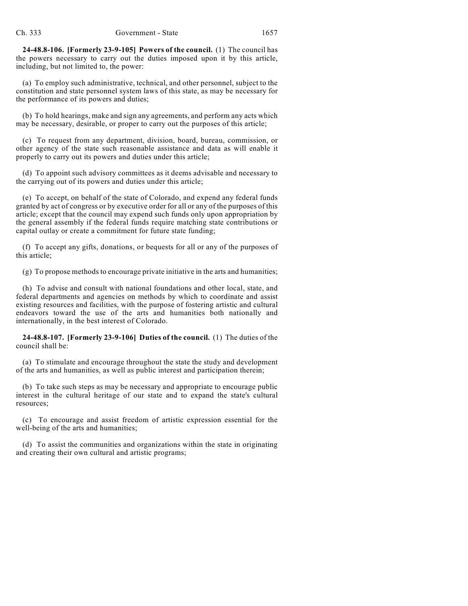**24-48.8-106. [Formerly 23-9-105] Powers of the council.** (1) The council has the powers necessary to carry out the duties imposed upon it by this article, including, but not limited to, the power:

(a) To employ such administrative, technical, and other personnel, subject to the constitution and state personnel system laws of this state, as may be necessary for the performance of its powers and duties;

(b) To hold hearings, make and sign any agreements, and perform any acts which may be necessary, desirable, or proper to carry out the purposes of this article;

(c) To request from any department, division, board, bureau, commission, or other agency of the state such reasonable assistance and data as will enable it properly to carry out its powers and duties under this article;

(d) To appoint such advisory committees as it deems advisable and necessary to the carrying out of its powers and duties under this article;

(e) To accept, on behalf of the state of Colorado, and expend any federal funds granted by act of congress or by executive order for all or any of the purposes of this article; except that the council may expend such funds only upon appropriation by the general assembly if the federal funds require matching state contributions or capital outlay or create a commitment for future state funding;

(f) To accept any gifts, donations, or bequests for all or any of the purposes of this article;

(g) To propose methods to encourage private initiative in the arts and humanities;

(h) To advise and consult with national foundations and other local, state, and federal departments and agencies on methods by which to coordinate and assist existing resources and facilities, with the purpose of fostering artistic and cultural endeavors toward the use of the arts and humanities both nationally and internationally, in the best interest of Colorado.

**24-48.8-107. [Formerly 23-9-106] Duties of the council.** (1) The duties of the council shall be:

(a) To stimulate and encourage throughout the state the study and development of the arts and humanities, as well as public interest and participation therein;

(b) To take such steps as may be necessary and appropriate to encourage public interest in the cultural heritage of our state and to expand the state's cultural resources;

(c) To encourage and assist freedom of artistic expression essential for the well-being of the arts and humanities;

(d) To assist the communities and organizations within the state in originating and creating their own cultural and artistic programs;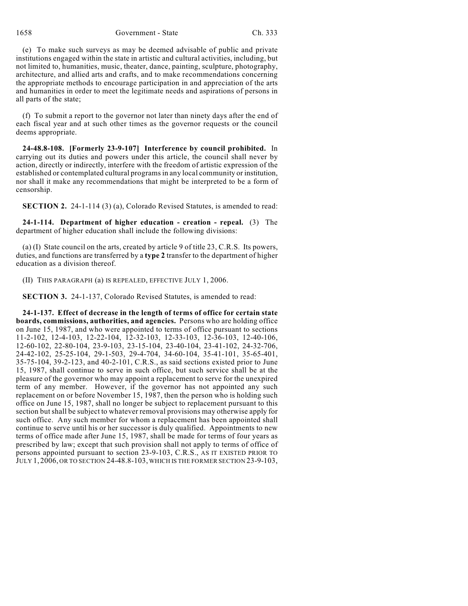1658 Government - State Ch. 333

(e) To make such surveys as may be deemed advisable of public and private institutions engaged within the state in artistic and cultural activities, including, but not limited to, humanities, music, theater, dance, painting, sculpture, photography, architecture, and allied arts and crafts, and to make recommendations concerning the appropriate methods to encourage participation in and appreciation of the arts and humanities in order to meet the legitimate needs and aspirations of persons in all parts of the state;

(f) To submit a report to the governor not later than ninety days after the end of each fiscal year and at such other times as the governor requests or the council deems appropriate.

**24-48.8-108. [Formerly 23-9-107] Interference by council prohibited.** In carrying out its duties and powers under this article, the council shall never by action, directly or indirectly, interfere with the freedom of artistic expression of the established or contemplated cultural programs in any local community or institution, nor shall it make any recommendations that might be interpreted to be a form of censorship.

**SECTION 2.** 24-1-114 (3) (a), Colorado Revised Statutes, is amended to read:

**24-1-114. Department of higher education - creation - repeal.** (3) The department of higher education shall include the following divisions:

(a) (I) State council on the arts, created by article 9 of title 23, C.R.S. Its powers, duties, and functions are transferred by a **type 2** transfer to the department of higher education as a division thereof.

(II) THIS PARAGRAPH (a) IS REPEALED, EFFECTIVE JULY 1, 2006.

**SECTION 3.** 24-1-137, Colorado Revised Statutes, is amended to read:

**24-1-137. Effect of decrease in the length of terms of office for certain state boards, commissions, authorities, and agencies.** Persons who are holding office on June 15, 1987, and who were appointed to terms of office pursuant to sections 11-2-102, 12-4-103, 12-22-104, 12-32-103, 12-33-103, 12-36-103, 12-40-106, 12-60-102, 22-80-104, 23-9-103, 23-15-104, 23-40-104, 23-41-102, 24-32-706, 24-42-102, 25-25-104, 29-1-503, 29-4-704, 34-60-104, 35-41-101, 35-65-401, 35-75-104, 39-2-123, and 40-2-101, C.R.S., as said sections existed prior to June 15, 1987, shall continue to serve in such office, but such service shall be at the pleasure of the governor who may appoint a replacement to serve for the unexpired term of any member. However, if the governor has not appointed any such replacement on or before November 15, 1987, then the person who is holding such office on June 15, 1987, shall no longer be subject to replacement pursuant to this section but shall be subject to whatever removal provisions may otherwise apply for such office. Any such member for whom a replacement has been appointed shall continue to serve until his or her successor is duly qualified. Appointments to new terms of office made after June 15, 1987, shall be made for terms of four years as prescribed by law; except that such provision shall not apply to terms of office of persons appointed pursuant to section 23-9-103, C.R.S., AS IT EXISTED PRIOR TO JULY 1, 2006, OR TO SECTION 24-48.8-103, WHICH IS THE FORMER SECTION 23-9-103,